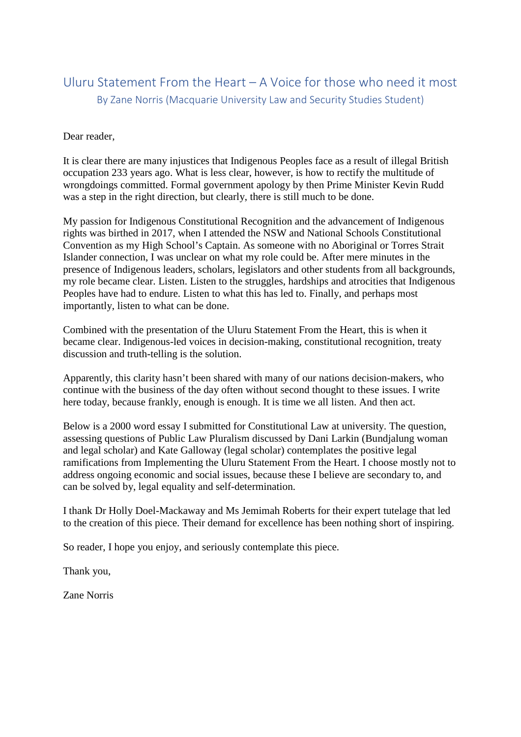# Uluru Statement From the Heart – A Voice for those who need it most By Zane Norris (Macquarie University Law and Security Studies Student)

# Dear reader,

It is clear there are many injustices that Indigenous Peoples face as a result of illegal British occupation 233 years ago. What is less clear, however, is how to rectify the multitude of wrongdoings committed. Formal government apology by then Prime Minister Kevin Rudd was a step in the right direction, but clearly, there is still much to be done.

My passion for Indigenous Constitutional Recognition and the advancement of Indigenous rights was birthed in 2017, when I attended the NSW and National Schools Constitutional Convention as my High School's Captain. As someone with no Aboriginal or Torres Strait Islander connection, I was unclear on what my role could be. After mere minutes in the presence of Indigenous leaders, scholars, legislators and other students from all backgrounds, my role became clear. Listen. Listen to the struggles, hardships and atrocities that Indigenous Peoples have had to endure. Listen to what this has led to. Finally, and perhaps most importantly, listen to what can be done.

Combined with the presentation of the Uluru Statement From the Heart, this is when it became clear. Indigenous-led voices in decision-making, constitutional recognition, treaty discussion and truth-telling is the solution.

Apparently, this clarity hasn't been shared with many of our nations decision-makers, who continue with the business of the day often without second thought to these issues. I write here today, because frankly, enough is enough. It is time we all listen. And then act.

Below is a 2000 word essay I submitted for Constitutional Law at university. The question, assessing questions of Public Law Pluralism discussed by Dani Larkin (Bundjalung woman and legal scholar) and Kate Galloway (legal scholar) contemplates the positive legal ramifications from Implementing the Uluru Statement From the Heart. I choose mostly not to address ongoing economic and social issues, because these I believe are secondary to, and can be solved by, legal equality and self-determination.

I thank Dr Holly Doel-Mackaway and Ms Jemimah Roberts for their expert tutelage that led to the creation of this piece. Their demand for excellence has been nothing short of inspiring.

So reader, I hope you enjoy, and seriously contemplate this piece.

Thank you,

Zane Norris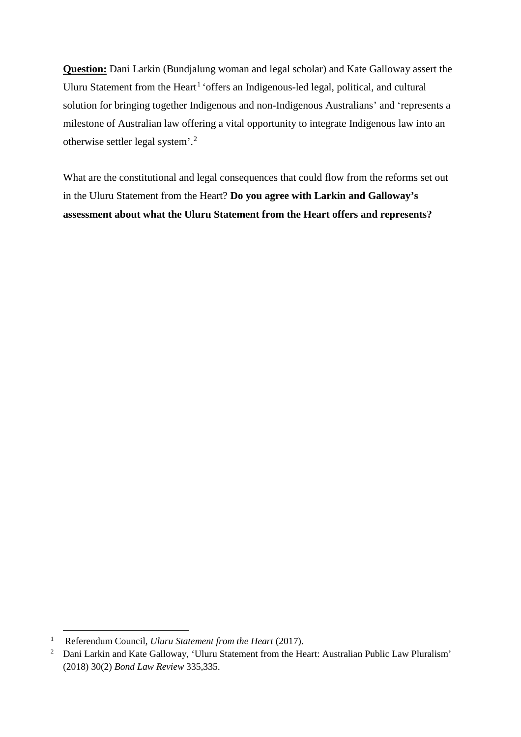**Question:** Dani Larkin (Bundjalung woman and legal scholar) and Kate Galloway assert the Uluru Statement from the Heart<sup>[1](#page-1-0)</sup> 'offers an Indigenous-led legal, political, and cultural solution for bringing together Indigenous and non-Indigenous Australians' and 'represents a milestone of Australian law offering a vital opportunity to integrate Indigenous law into an otherwise settler legal system'.[2](#page-1-1)

What are the constitutional and legal consequences that could flow from the reforms set out in the Uluru Statement from the Heart? **Do you agree with Larkin and Galloway's assessment about what the Uluru Statement from the Heart offers and represents?** 

<span id="page-1-1"></span><span id="page-1-0"></span>

<sup>&</sup>lt;sup>1</sup> Referendum Council, *Uluru Statement from the Heart* (2017).<br><sup>2</sup> Dani Larkin and Kate Galloway, 'Uluru Statement from the Heart: Australian Public Law Pluralism' (2018) 30(2) *Bond Law Review* 335,335.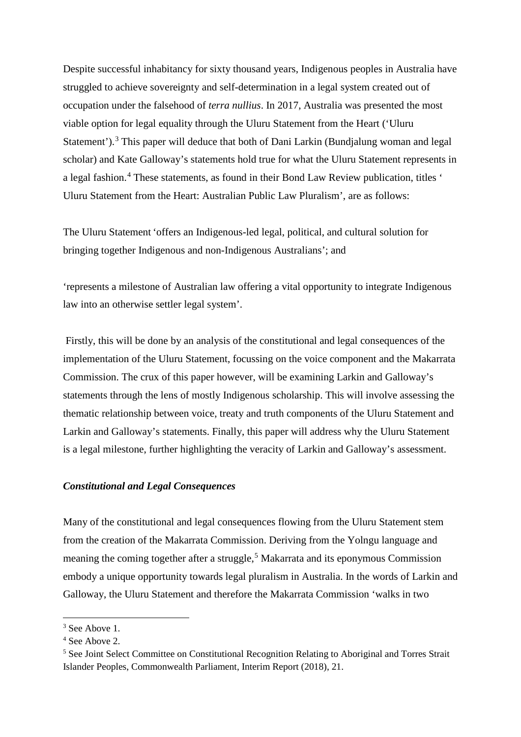Despite successful inhabitancy for sixty thousand years, Indigenous peoples in Australia have struggled to achieve sovereignty and self-determination in a legal system created out of occupation under the falsehood of *terra nullius*. In 2017, Australia was presented the most viable option for legal equality through the Uluru Statement from the Heart ('Uluru Statement').<sup>[3](#page-2-0)</sup> This paper will deduce that both of Dani Larkin (Bundjalung woman and legal scholar) and Kate Galloway's statements hold true for what the Uluru Statement represents in a legal fashion.<sup>[4](#page-2-1)</sup> These statements, as found in their Bond Law Review publication, titles ' Uluru Statement from the Heart: Australian Public Law Pluralism', are as follows:

The Uluru Statement 'offers an Indigenous-led legal, political, and cultural solution for bringing together Indigenous and non-Indigenous Australians'; and

'represents a milestone of Australian law offering a vital opportunity to integrate Indigenous law into an otherwise settler legal system'.

Firstly, this will be done by an analysis of the constitutional and legal consequences of the implementation of the Uluru Statement, focussing on the voice component and the Makarrata Commission. The crux of this paper however, will be examining Larkin and Galloway's statements through the lens of mostly Indigenous scholarship. This will involve assessing the thematic relationship between voice, treaty and truth components of the Uluru Statement and Larkin and Galloway's statements. Finally, this paper will address why the Uluru Statement is a legal milestone, further highlighting the veracity of Larkin and Galloway's assessment.

#### *Constitutional and Legal Consequences*

Many of the constitutional and legal consequences flowing from the Uluru Statement stem from the creation of the Makarrata Commission. Deriving from the Yolngu language and meaning the coming together after a struggle,<sup>[5](#page-2-2)</sup> Makarrata and its eponymous Commission embody a unique opportunity towards legal pluralism in Australia. In the words of Larkin and Galloway, the Uluru Statement and therefore the Makarrata Commission 'walks in two

<span id="page-2-0"></span><sup>&</sup>lt;sup>3</sup> See Above 1.

<span id="page-2-1"></span><sup>4</sup> See Above 2.

<span id="page-2-2"></span><sup>&</sup>lt;sup>5</sup> See Joint Select Committee on Constitutional Recognition Relating to Aboriginal and Torres Strait Islander Peoples, Commonwealth Parliament, Interim Report (2018), 21.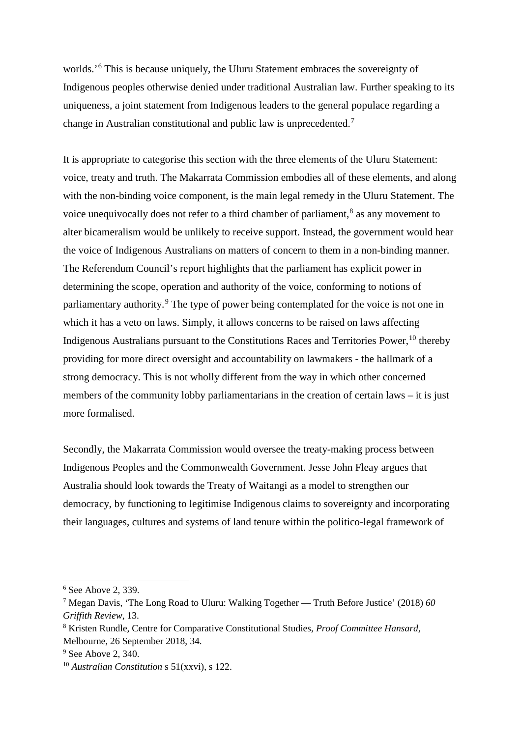worlds.'[6](#page-3-0) This is because uniquely, the Uluru Statement embraces the sovereignty of Indigenous peoples otherwise denied under traditional Australian law. Further speaking to its uniqueness, a joint statement from Indigenous leaders to the general populace regarding a change in Australian constitutional and public law is unprecedented.[7](#page-3-1)

It is appropriate to categorise this section with the three elements of the Uluru Statement: voice, treaty and truth. The Makarrata Commission embodies all of these elements, and along with the non-binding voice component, is the main legal remedy in the Uluru Statement. The voice unequivocally does not refer to a third chamber of parliament,<sup>[8](#page-3-2)</sup> as any movement to alter bicameralism would be unlikely to receive support. Instead, the government would hear the voice of Indigenous Australians on matters of concern to them in a non-binding manner. The Referendum Council's report highlights that the parliament has explicit power in determining the scope, operation and authority of the voice, conforming to notions of parliamentary authority.<sup>[9](#page-3-3)</sup> The type of power being contemplated for the voice is not one in which it has a veto on laws. Simply, it allows concerns to be raised on laws affecting Indigenous Australians pursuant to the Constitutions Races and Territories Power,  $10$  thereby providing for more direct oversight and accountability on lawmakers - the hallmark of a strong democracy. This is not wholly different from the way in which other concerned members of the community lobby parliamentarians in the creation of certain laws – it is just more formalised.

Secondly, the Makarrata Commission would oversee the treaty-making process between Indigenous Peoples and the Commonwealth Government. Jesse John Fleay argues that Australia should look towards the Treaty of Waitangi as a model to strengthen our democracy, by functioning to legitimise Indigenous claims to sovereignty and incorporating their languages, cultures and systems of land tenure within the politico-legal framework of

<span id="page-3-0"></span> $6$  See Above 2, 339.

<span id="page-3-1"></span><sup>7</sup> Megan Davis, 'The Long Road to Uluru: Walking Together — Truth Before Justice' (2018) *60 Griffith Review*, 13.

<span id="page-3-2"></span><sup>8</sup> Kristen Rundle, Centre for Comparative Constitutional Studies, *Proof Committee Hansard,*  Melbourne, 26 September 2018, 34.

<span id="page-3-3"></span><sup>&</sup>lt;sup>9</sup> See Above 2, 340.

<span id="page-3-4"></span><sup>10</sup> *Australian Constitution* s 51(xxvi), s 122.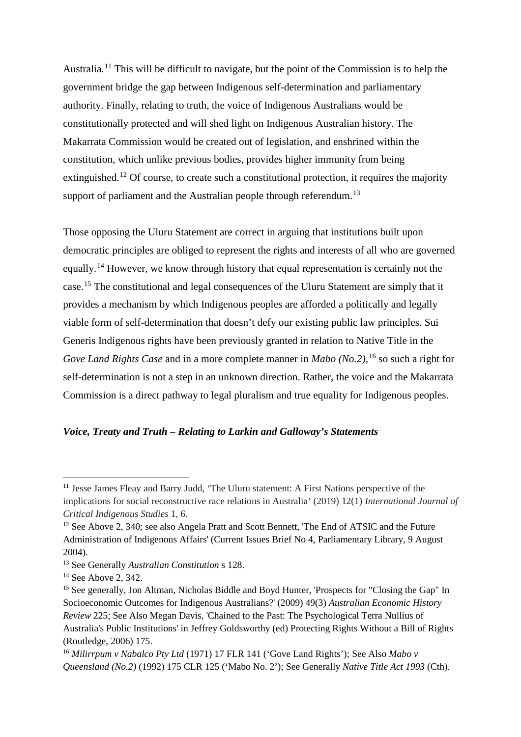Australia.[11](#page-4-0) This will be difficult to navigate, but the point of the Commission is to help the government bridge the gap between Indigenous self-determination and parliamentary authority. Finally, relating to truth, the voice of Indigenous Australians would be constitutionally protected and will shed light on Indigenous Australian history. The Makarrata Commission would be created out of legislation, and enshrined within the constitution, which unlike previous bodies, provides higher immunity from being extinguished.<sup>[12](#page-4-1)</sup> Of course, to create such a constitutional protection, it requires the majority support of parliament and the Australian people through referendum.<sup>[13](#page-4-2)</sup>

Those opposing the Uluru Statement are correct in arguing that institutions built upon democratic principles are obliged to represent the rights and interests of all who are governed equally.<sup>[14](#page-4-3)</sup> However, we know through history that equal representation is certainly not the case.[15](#page-4-4) The constitutional and legal consequences of the Uluru Statement are simply that it provides a mechanism by which Indigenous peoples are afforded a politically and legally viable form of self-determination that doesn't defy our existing public law principles. Sui Generis Indigenous rights have been previously granted in relation to Native Title in the *Gove Land Rights Case* and in a more complete manner in *Mabo (No.2)*, [16](#page-4-5) so such a right for self-determination is not a step in an unknown direction. Rather, the voice and the Makarrata Commission is a direct pathway to legal pluralism and true equality for Indigenous peoples.

# *Voice, Treaty and Truth – Relating to Larkin and Galloway's Statements*

<span id="page-4-0"></span><sup>&</sup>lt;sup>11</sup> Jesse James Fleay and Barry Judd, 'The Uluru statement: A First Nations perspective of the implications for social reconstructive race relations in Australia' (2019) 12(1) *International Journal of Critical Indigenous Studies* 1, 6.

<span id="page-4-1"></span><sup>&</sup>lt;sup>12</sup> See Above 2, 340; see also Angela Pratt and Scott Bennett, 'The End of ATSIC and the Future Administration of Indigenous Affairs' (Current Issues Brief No 4, Parliamentary Library, 9 August 2004).

<span id="page-4-2"></span><sup>13</sup> See Generally *Australian Constitution* s 128.

<span id="page-4-3"></span><sup>&</sup>lt;sup>14</sup> See Above 2, 342.

<span id="page-4-4"></span><sup>&</sup>lt;sup>15</sup> See generally, Jon Altman, Nicholas Biddle and Boyd Hunter, 'Prospects for "Closing the Gap" In Socioeconomic Outcomes for Indigenous Australians?' (2009) 49(3) *Australian Economic History Review* 225; See Also Megan Davis, 'Chained to the Past: The Psychological Terra Nullius of Australia's Public Institutions' in Jeffrey Goldsworthy (ed) Protecting Rights Without a Bill of Rights (Routledge, 2006) 175.

<span id="page-4-5"></span><sup>16</sup> *Milirrpum v Nabalco Pty Ltd* (1971) 17 FLR 141 ('Gove Land Rights'); See Also *Mabo v Queensland (No.2)* (1992) 175 CLR 125 ('Mabo No. 2'); See Generally *Native Title Act 1993* (Cth).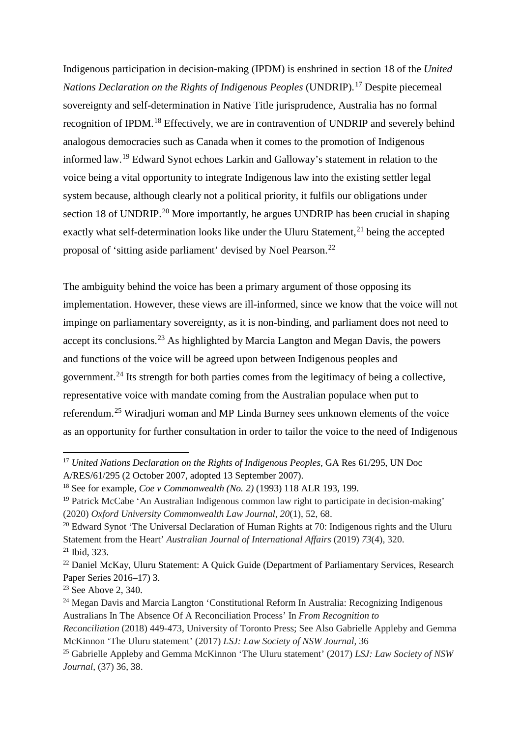Indigenous participation in decision-making (IPDM) is enshrined in section 18 of the *United Nations Declaration on the Rights of Indigenous Peoples* (UNDRIP).<sup>[17](#page-5-0)</sup> Despite piecemeal sovereignty and self-determination in Native Title jurisprudence, Australia has no formal recognition of IPDM.[18](#page-5-1) Effectively, we are in contravention of UNDRIP and severely behind analogous democracies such as Canada when it comes to the promotion of Indigenous informed law.[19](#page-5-2) Edward Synot echoes Larkin and Galloway's statement in relation to the voice being a vital opportunity to integrate Indigenous law into the existing settler legal system because, although clearly not a political priority, it fulfils our obligations under section 18 of UNDRIP.<sup>[20](#page-5-3)</sup> More importantly, he argues UNDRIP has been crucial in shaping exactly what self-determination looks like under the Uluru Statement, $2<sup>1</sup>$  being the accepted proposal of 'sitting aside parliament' devised by Noel Pearson.[22](#page-5-5)

The ambiguity behind the voice has been a primary argument of those opposing its implementation. However, these views are ill-informed, since we know that the voice will not impinge on parliamentary sovereignty, as it is non-binding, and parliament does not need to accept its conclusions.<sup>[23](#page-5-6)</sup> As highlighted by Marcia Langton and Megan Davis, the powers and functions of the voice will be agreed upon between Indigenous peoples and government.<sup>[24](#page-5-7)</sup> Its strength for both parties comes from the legitimacy of being a collective, representative voice with mandate coming from the Australian populace when put to referendum.[25](#page-5-8) Wiradjuri woman and MP Linda Burney sees unknown elements of the voice as an opportunity for further consultation in order to tailor the voice to the need of Indigenous

<span id="page-5-0"></span><sup>&</sup>lt;sup>17</sup> United Nations Declaration on the Rights of Indigenous Peoples, GA Res 61/295, UN Doc A/RES/61/295 (2 October 2007, adopted 13 September 2007).

<span id="page-5-1"></span><sup>18</sup> See for example, *Coe v Commonwealth (No. 2)* (1993) 118 ALR 193, 199.

<span id="page-5-2"></span><sup>&</sup>lt;sup>19</sup> Patrick McCabe 'An Australian Indigenous common law right to participate in decision-making' (2020) *Oxford University Commonwealth Law Journal*, *20*(1), 52, 68.

<span id="page-5-3"></span><sup>&</sup>lt;sup>20</sup> Edward Synot 'The Universal Declaration of Human Rights at 70: Indigenous rights and the Uluru Statement from the Heart' *Australian Journal of International Affairs* (2019) *73*(4), 320. <sup>21</sup> Ibid, 323.

<span id="page-5-5"></span><span id="page-5-4"></span><sup>&</sup>lt;sup>22</sup> Daniel McKay, Uluru Statement: A Quick Guide (Department of Parliamentary Services, Research Paper Series 2016–17) 3.

<span id="page-5-6"></span><sup>&</sup>lt;sup>23</sup> See Above 2, 340.

<span id="page-5-7"></span><sup>&</sup>lt;sup>24</sup> Megan Davis and Marcia Langton 'Constitutional Reform In Australia: Recognizing Indigenous Australians In The Absence Of A Reconciliation Process' In *From Recognition to* 

*Reconciliation* (2018) 449-473, University of Toronto Press; See Also Gabrielle Appleby and Gemma McKinnon 'The Uluru statement' (2017) *LSJ: Law Society of NSW Journal*, 36

<span id="page-5-8"></span><sup>25</sup> Gabrielle Appleby and Gemma McKinnon 'The Uluru statement' (2017) *LSJ: Law Society of NSW Journal*, (37) 36, 38.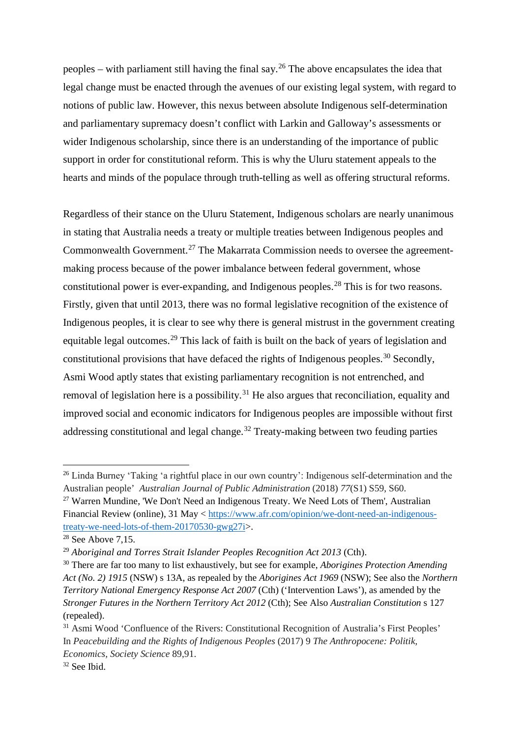peoples – with parliament still having the final say.[26](#page-6-0) The above encapsulates the idea that legal change must be enacted through the avenues of our existing legal system, with regard to notions of public law. However, this nexus between absolute Indigenous self-determination and parliamentary supremacy doesn't conflict with Larkin and Galloway's assessments or wider Indigenous scholarship, since there is an understanding of the importance of public support in order for constitutional reform. This is why the Uluru statement appeals to the hearts and minds of the populace through truth-telling as well as offering structural reforms.

Regardless of their stance on the Uluru Statement, Indigenous scholars are nearly unanimous in stating that Australia needs a treaty or multiple treaties between Indigenous peoples and Commonwealth Government.<sup>[27](#page-6-1)</sup> The Makarrata Commission needs to oversee the agreementmaking process because of the power imbalance between federal government, whose constitutional power is ever-expanding, and Indigenous peoples.[28](#page-6-2) This is for two reasons. Firstly, given that until 2013, there was no formal legislative recognition of the existence of Indigenous peoples, it is clear to see why there is general mistrust in the government creating equitable legal outcomes.<sup>[29](#page-6-3)</sup> This lack of faith is built on the back of years of legislation and constitutional provisions that have defaced the rights of Indigenous peoples.<sup>[30](#page-6-4)</sup> Secondly, Asmi Wood aptly states that existing parliamentary recognition is not entrenched, and removal of legislation here is a possibility.<sup>[31](#page-6-5)</sup> He also argues that reconciliation, equality and improved social and economic indicators for Indigenous peoples are impossible without first addressing constitutional and legal change.<sup>[32](#page-6-6)</sup> Treaty-making between two feuding parties

<span id="page-6-0"></span><sup>&</sup>lt;sup>26</sup> Linda Burney 'Taking 'a rightful place in our own country': Indigenous self-determination and the Australian people' *Australian Journal of Public Administration* (2018) *77*(S1) S59, S60.

<span id="page-6-1"></span><sup>&</sup>lt;sup>27</sup> Warren Mundine, 'We Don't Need an Indigenous Treaty. We Need Lots of Them', Australian Financial Review (online), 31 May < [https://www.afr.com/opinion/we-dont-need-an-indigenous](https://www.afr.com/opinion/we-dont-need-an-indigenous-treaty-we-need-lots-of-them-20170530-gwg27i)[treaty-we-need-lots-of-them-20170530-gwg27i>](https://www.afr.com/opinion/we-dont-need-an-indigenous-treaty-we-need-lots-of-them-20170530-gwg27i).

<span id="page-6-2"></span> $28$  See Above 7,15.

<span id="page-6-3"></span><sup>29</sup> *Aboriginal and Torres Strait Islander Peoples Recognition Act 2013* (Cth).

<span id="page-6-4"></span><sup>30</sup> There are far too many to list exhaustively, but see for example, *Aborigines Protection Amending Act (No. 2) 1915* (NSW) s 13A, as repealed by the *Aborigines Act 1969* (NSW); See also the *Northern Territory National Emergency Response Act 2007* (Cth) ('Intervention Laws'), as amended by the *Stronger Futures in the Northern Territory Act 2012* (Cth); See Also *Australian Constitution* s 127 (repealed).

<span id="page-6-5"></span><sup>&</sup>lt;sup>31</sup> Asmi Wood 'Confluence of the Rivers: Constitutional Recognition of Australia's First Peoples' In *Peacebuilding and the Rights of Indigenous Peoples* (2017) 9 *The Anthropocene: Politik, Economics, Society Science* 89,91.

<span id="page-6-6"></span><sup>32</sup> See Ibid.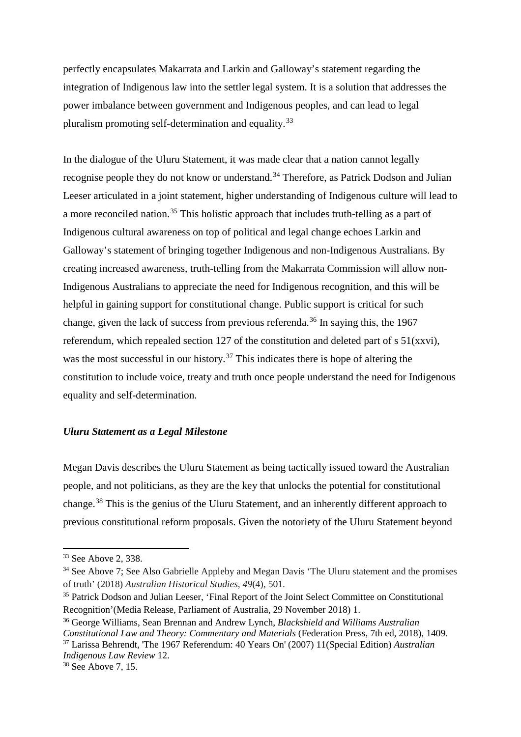perfectly encapsulates Makarrata and Larkin and Galloway's statement regarding the integration of Indigenous law into the settler legal system. It is a solution that addresses the power imbalance between government and Indigenous peoples, and can lead to legal pluralism promoting self-determination and equality.[33](#page-7-0)

In the dialogue of the Uluru Statement, it was made clear that a nation cannot legally recognise people they do not know or understand.<sup>[34](#page-7-1)</sup> Therefore, as Patrick Dodson and Julian Leeser articulated in a joint statement, higher understanding of Indigenous culture will lead to a more reconciled nation.<sup>[35](#page-7-2)</sup> This holistic approach that includes truth-telling as a part of Indigenous cultural awareness on top of political and legal change echoes Larkin and Galloway's statement of bringing together Indigenous and non-Indigenous Australians. By creating increased awareness, truth-telling from the Makarrata Commission will allow non-Indigenous Australians to appreciate the need for Indigenous recognition, and this will be helpful in gaining support for constitutional change. Public support is critical for such change, given the lack of success from previous referenda.<sup>[36](#page-7-3)</sup> In saying this, the 1967 referendum, which repealed section 127 of the constitution and deleted part of  $s \frac{51}{(xxvi)}$ , was the most successful in our history.<sup>[37](#page-7-4)</sup> This indicates there is hope of altering the constitution to include voice, treaty and truth once people understand the need for Indigenous equality and self-determination.

#### *Uluru Statement as a Legal Milestone*

Megan Davis describes the Uluru Statement as being tactically issued toward the Australian people, and not politicians, as they are the key that unlocks the potential for constitutional change.[38](#page-7-5) This is the genius of the Uluru Statement, and an inherently different approach to previous constitutional reform proposals. Given the notoriety of the Uluru Statement beyond

<span id="page-7-0"></span><sup>&</sup>lt;sup>33</sup> See Above 2, 338.

<span id="page-7-1"></span><sup>&</sup>lt;sup>34</sup> See Above 7; See Also Gabrielle Appleby and Megan Davis 'The Uluru statement and the promises of truth' (2018) *Australian Historical Studies*, *49*(4), 501.

<span id="page-7-2"></span><sup>&</sup>lt;sup>35</sup> Patrick Dodson and Julian Leeser, 'Final Report of the Joint Select Committee on Constitutional Recognition'(Media Release, Parliament of Australia, 29 November 2018) 1.

<span id="page-7-3"></span><sup>36</sup> George Williams, Sean Brennan and Andrew Lynch, *Blackshield and Williams Australian Constitutional Law and Theory: Commentary and Materials* (Federation Press, 7th ed, 2018), 1409.

<span id="page-7-4"></span><sup>37</sup> Larissa Behrendt, 'The 1967 Referendum: 40 Years On' (2007) 11(Special Edition) *Australian Indigenous Law Review* 12.

<span id="page-7-5"></span><sup>38</sup> See Above 7, 15.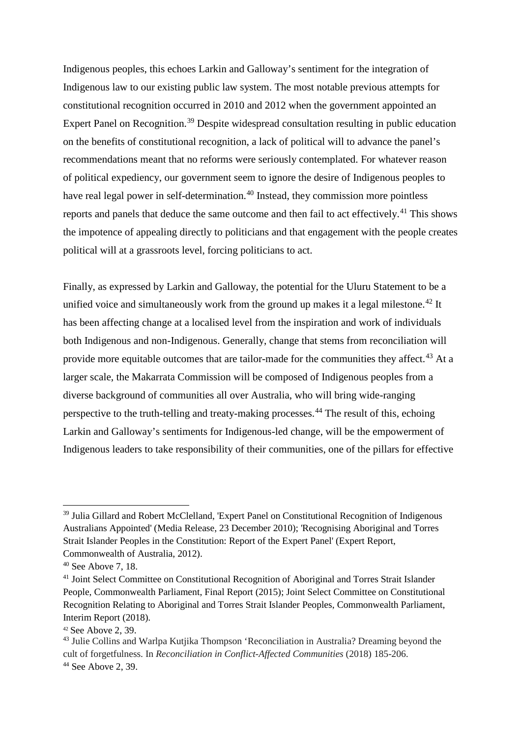Indigenous peoples, this echoes Larkin and Galloway's sentiment for the integration of Indigenous law to our existing public law system. The most notable previous attempts for constitutional recognition occurred in 2010 and 2012 when the government appointed an Expert Panel on Recognition.<sup>[39](#page-8-0)</sup> Despite widespread consultation resulting in public education on the benefits of constitutional recognition, a lack of political will to advance the panel's recommendations meant that no reforms were seriously contemplated. For whatever reason of political expediency, our government seem to ignore the desire of Indigenous peoples to have real legal power in self-determination.<sup>[40](#page-8-1)</sup> Instead, they commission more pointless reports and panels that deduce the same outcome and then fail to act effectively.<sup>[41](#page-8-2)</sup> This shows the impotence of appealing directly to politicians and that engagement with the people creates political will at a grassroots level, forcing politicians to act.

Finally, as expressed by Larkin and Galloway, the potential for the Uluru Statement to be a unified voice and simultaneously work from the ground up makes it a legal milestone.<sup>[42](#page-8-3)</sup> It has been affecting change at a localised level from the inspiration and work of individuals both Indigenous and non-Indigenous. Generally, change that stems from reconciliation will provide more equitable outcomes that are tailor-made for the communities they affect.<sup>[43](#page-8-4)</sup> At a larger scale, the Makarrata Commission will be composed of Indigenous peoples from a diverse background of communities all over Australia, who will bring wide-ranging perspective to the truth-telling and treaty-making processes.[44](#page-8-5) The result of this, echoing Larkin and Galloway's sentiments for Indigenous-led change, will be the empowerment of Indigenous leaders to take responsibility of their communities, one of the pillars for effective

<span id="page-8-0"></span><sup>&</sup>lt;sup>39</sup> Julia Gillard and Robert McClelland, 'Expert Panel on Constitutional Recognition of Indigenous Australians Appointed' (Media Release, 23 December 2010); 'Recognising Aboriginal and Torres Strait Islander Peoples in the Constitution: Report of the Expert Panel' (Expert Report, Commonwealth of Australia, 2012).

<span id="page-8-1"></span><sup>40</sup> See Above 7, 18.

<span id="page-8-2"></span><sup>41</sup> Joint Select Committee on Constitutional Recognition of Aboriginal and Torres Strait Islander People, Commonwealth Parliament, Final Report (2015); Joint Select Committee on Constitutional Recognition Relating to Aboriginal and Torres Strait Islander Peoples, Commonwealth Parliament, Interim Report (2018).

<span id="page-8-3"></span><sup>42</sup> See Above 2, 39.

<span id="page-8-5"></span><span id="page-8-4"></span><sup>&</sup>lt;sup>43</sup> Julie Collins and Warlpa Kutjika Thompson 'Reconciliation in Australia? Dreaming beyond the cult of forgetfulness. In *Reconciliation in Conflict-Affected Communities* (2018) 185-206. <sup>44</sup> See Above 2, 39.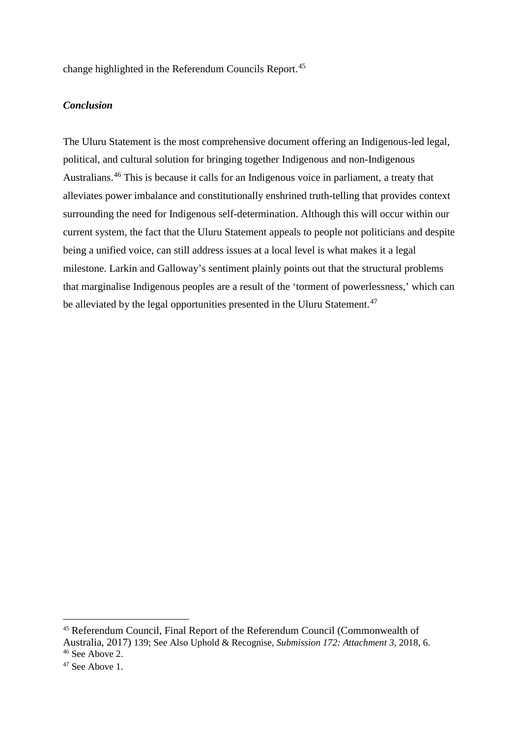change highlighted in the Referendum Councils Report.<sup>[45](#page-9-0)</sup>

#### *Conclusion*

The Uluru Statement is the most comprehensive document offering an Indigenous-led legal, political, and cultural solution for bringing together Indigenous and non-Indigenous Australians. [46](#page-9-1) This is because it calls for an Indigenous voice in parliament, a treaty that alleviates power imbalance and constitutionally enshrined truth-telling that provides context surrounding the need for Indigenous self-determination. Although this will occur within our current system, the fact that the Uluru Statement appeals to people not politicians and despite being a unified voice, can still address issues at a local level is what makes it a legal milestone. Larkin and Galloway's sentiment plainly points out that the structural problems that marginalise Indigenous peoples are a result of the 'torment of powerlessness,' which can be alleviated by the legal opportunities presented in the Uluru Statement.<sup>[47](#page-9-2)</sup>

<span id="page-9-0"></span> <sup>45</sup> Referendum Council, Final Report of the Referendum Council (Commonwealth of Australia, 2017) 139; See Also Uphold & Recognise, *Submission 172: Attachment 3,* 2018, 6. <sup>46</sup> See Above 2.

<span id="page-9-2"></span><span id="page-9-1"></span> $47$  See Above 1.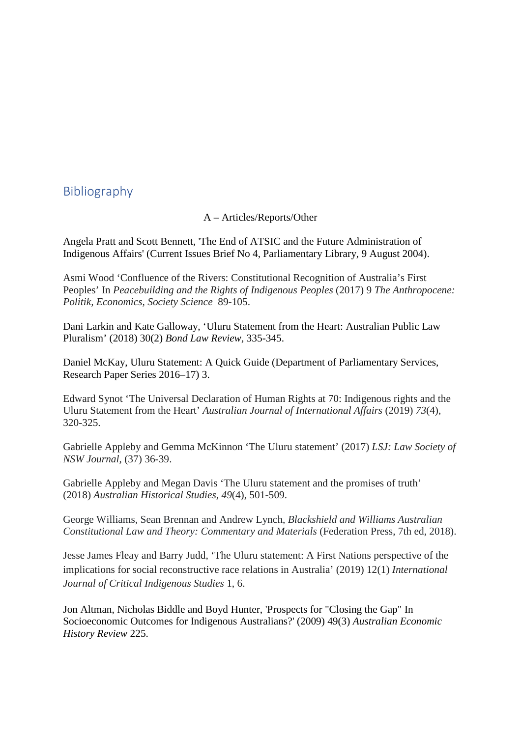# Bibliography

# A – Articles/Reports/Other

Angela Pratt and Scott Bennett, 'The End of ATSIC and the Future Administration of Indigenous Affairs' (Current Issues Brief No 4, Parliamentary Library, 9 August 2004).

Asmi Wood 'Confluence of the Rivers: Constitutional Recognition of Australia's First Peoples' In *Peacebuilding and the Rights of Indigenous Peoples* (2017) 9 *The Anthropocene: Politik, Economics, Society Science* 89-105.

Dani Larkin and Kate Galloway, 'Uluru Statement from the Heart: Australian Public Law Pluralism' (2018) 30(2) *Bond Law Review,* 335-345.

Daniel McKay, Uluru Statement: A Quick Guide (Department of Parliamentary Services, Research Paper Series 2016–17) 3.

Edward Synot 'The Universal Declaration of Human Rights at 70: Indigenous rights and the Uluru Statement from the Heart' *Australian Journal of International Affairs* (2019) *73*(4), 320-325.

Gabrielle Appleby and Gemma McKinnon 'The Uluru statement' (2017) *LSJ: Law Society of NSW Journal*, (37) 36-39.

Gabrielle Appleby and Megan Davis 'The Uluru statement and the promises of truth' (2018) *Australian Historical Studies*, *49*(4), 501-509.

George Williams, Sean Brennan and Andrew Lynch, *Blackshield and Williams Australian Constitutional Law and Theory: Commentary and Materials* (Federation Press, 7th ed, 2018).

Jesse James Fleay and Barry Judd, 'The Uluru statement: A First Nations perspective of the implications for social reconstructive race relations in Australia' (2019) 12(1) *International Journal of Critical Indigenous Studies* 1, 6.

Jon Altman, Nicholas Biddle and Boyd Hunter, 'Prospects for "Closing the Gap" In Socioeconomic Outcomes for Indigenous Australians?' (2009) 49(3) *Australian Economic History Review* 225.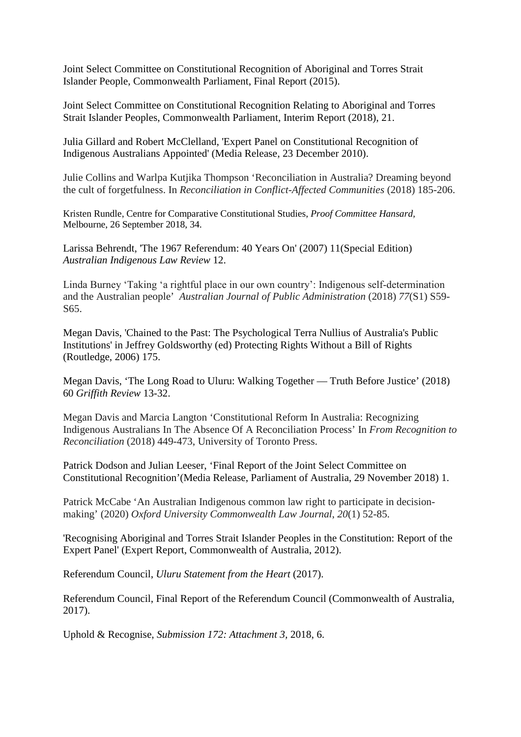Joint Select Committee on Constitutional Recognition of Aboriginal and Torres Strait Islander People, Commonwealth Parliament, Final Report (2015).

Joint Select Committee on Constitutional Recognition Relating to Aboriginal and Torres Strait Islander Peoples, Commonwealth Parliament, Interim Report (2018), 21.

Julia Gillard and Robert McClelland, 'Expert Panel on Constitutional Recognition of Indigenous Australians Appointed' (Media Release, 23 December 2010).

Julie Collins and Warlpa Kutjika Thompson 'Reconciliation in Australia? Dreaming beyond the cult of forgetfulness. In *Reconciliation in Conflict-Affected Communities* (2018) 185-206.

Kristen Rundle, Centre for Comparative Constitutional Studies, *Proof Committee Hansard,*  Melbourne, 26 September 2018, 34.

Larissa Behrendt, 'The 1967 Referendum: 40 Years On' (2007) 11(Special Edition) *Australian Indigenous Law Review* 12.

Linda Burney 'Taking 'a rightful place in our own country': Indigenous self‐determination and the Australian people' *Australian Journal of Public Administration* (2018) *77*(S1) S59- S65.

Megan Davis, 'Chained to the Past: The Psychological Terra Nullius of Australia's Public Institutions' in Jeffrey Goldsworthy (ed) Protecting Rights Without a Bill of Rights (Routledge, 2006) 175.

Megan Davis, 'The Long Road to Uluru: Walking Together — Truth Before Justice' (2018) 60 *Griffith Review* 13-32.

Megan Davis and Marcia Langton 'Constitutional Reform In Australia: Recognizing Indigenous Australians In The Absence Of A Reconciliation Process' In *From Recognition to Reconciliation* (2018) 449-473, University of Toronto Press.

Patrick Dodson and Julian Leeser, 'Final Report of the Joint Select Committee on Constitutional Recognition'(Media Release, Parliament of Australia, 29 November 2018) 1.

Patrick McCabe 'An Australian Indigenous common law right to participate in decisionmaking' (2020) *Oxford University Commonwealth Law Journal*, *20*(1) 52-85.

'Recognising Aboriginal and Torres Strait Islander Peoples in the Constitution: Report of the Expert Panel' (Expert Report, Commonwealth of Australia, 2012).

Referendum Council, *Uluru Statement from the Heart* (2017).

Referendum Council, Final Report of the Referendum Council (Commonwealth of Australia, 2017).

Uphold & Recognise, *Submission 172: Attachment 3,* 2018, 6.